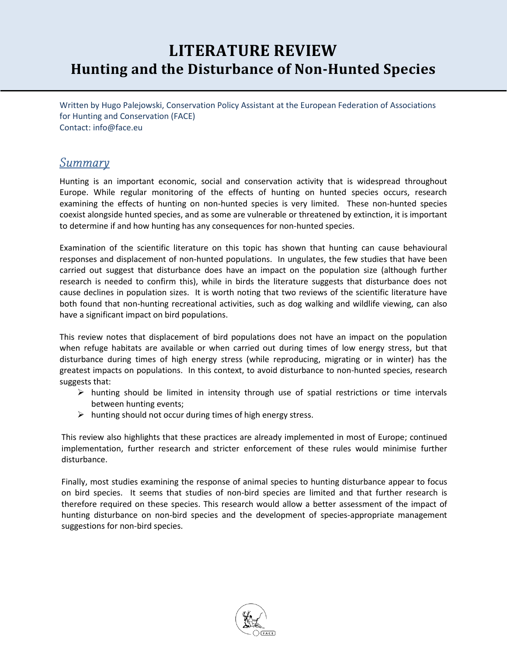# **LITERATURE REVIEW Hunting and the Disturbance of Non-Hunted Species**

Written by Hugo Palejowski, Conservation Policy Assistant at the European Federation of Associations for Hunting and Conservation (FACE) Contact: info@face.eu

### **Summary**

Hunting is an important economic, social and conservation activity that is widespread throughout Europe. While regular monitoring of the effects of hunting on hunted species occurs, research examining the effects of hunting on non-hunted species is very limited. These non-hunted species coexist alongside hunted species, and as some are vulnerable or threatened by extinction, it is important to determine if and how hunting has any consequences for non-hunted species.

Examination of the scientific literature on this topic has shown that hunting can cause behavioural responses and displacement of non-hunted populations. In ungulates, the few studies that have been carried out suggest that disturbance does have an impact on the population size (although further research is needed to confirm this), while in birds the literature suggests that disturbance does not cause declines in population sizes. It is worth noting that two reviews of the scientific literature have both found that non-hunting recreational activities, such as dog walking and wildlife viewing, can also have a significant impact on bird populations.

This review notes that displacement of bird populations does not have an impact on the population when refuge habitats are available or when carried out during times of low energy stress, but that disturbance during times of high energy stress (while reproducing, migrating or in winter) has the greatest impacts on populations. In this context, to avoid disturbance to non-hunted species, research suggests that:

- $\triangleright$  hunting should be limited in intensity through use of spatial restrictions or time intervals between hunting events;
- $\triangleright$  hunting should not occur during times of high energy stress.

This review also highlights that these practices are already implemented in most of Europe; continued implementation, further research and stricter enforcement of these rules would minimise further disturbance.

Finally, most studies examining the response of animal species to hunting disturbance appear to focus on bird species. It seems that studies of non-bird species are limited and that further research is therefore required on these species. This research would allow a better assessment of the impact of hunting disturbance on non-bird species and the development of species-appropriate management suggestions for non-bird species.

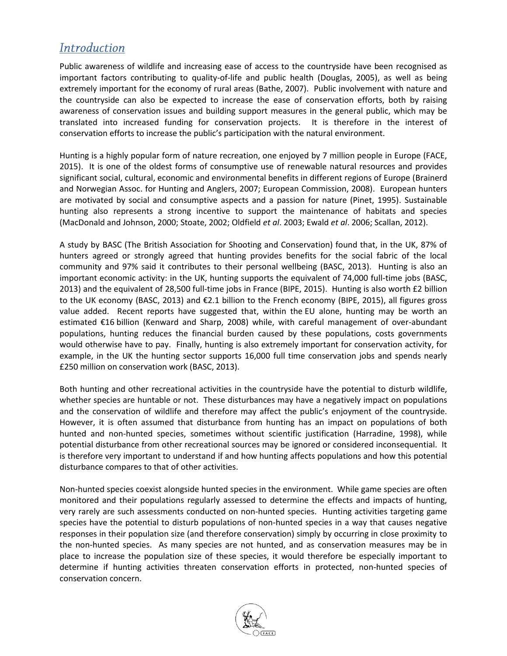# **Introduction**

Public awareness of wildlife and increasing ease of access to the countryside have been recognised as important factors contributing to quality-of-life and public health (Douglas, 2005), as well as being extremely important for the economy of rural areas (Bathe, 2007). Public involvement with nature and the countryside can also be expected to increase the ease of conservation efforts, both by raising awareness of conservation issues and building support measures in the general public, which may be translated into increased funding for conservation projects. It is therefore in the interest of conservation efforts to increase the public's participation with the natural environment.

Hunting is a highly popular form of nature recreation, one enjoyed by 7 million people in Europe (FACE, 2015). It is one of the oldest forms of consumptive use of renewable natural resources and provides significant social, cultural, economic and environmental benefits in different regions of Europe (Brainerd and Norwegian Assoc. for Hunting and Anglers, 2007; European Commission, 2008). European hunters are motivated by social and consumptive aspects and a passion for nature (Pinet, 1995). Sustainable hunting also represents a strong incentive to support the maintenance of habitats and species (MacDonald and Johnson, 2000; Stoate, 2002; Oldfield *et al*. 2003; Ewald *et al*. 2006; Scallan, 2012).

A study by BASC (The British Association for Shooting and Conservation) found that, in the UK, 87% of hunters agreed or strongly agreed that hunting provides benefits for the social fabric of the local community and 97% said it contributes to their personal wellbeing (BASC, 2013). Hunting is also an important economic activity: in the UK, hunting supports the equivalent of 74,000 full-time jobs (BASC, 2013) and the equivalent of 28,500 full-time jobs in France (BIPE, 2015). Hunting is also worth £2 billion to the UK economy (BASC, 2013) and €2.1 billion to the French economy (BIPE, 2015), all figures gross value added. Recent reports have suggested that, within the EU alone, hunting may be worth an estimated €16 billion (Kenward and Sharp, 2008) while, with careful management of over-abundant populations, hunting reduces the financial burden caused by these populations, costs governments would otherwise have to pay. Finally, hunting is also extremely important for conservation activity, for example, in the UK the hunting sector supports 16,000 full time conservation jobs and spends nearly £250 million on conservation work (BASC, 2013).

Both hunting and other recreational activities in the countryside have the potential to disturb wildlife, whether species are huntable or not. These disturbances may have a negatively impact on populations and the conservation of wildlife and therefore may affect the public's enjoyment of the countryside. However, it is often assumed that disturbance from hunting has an impact on populations of both hunted and non-hunted species, sometimes without scientific justification (Harradine, 1998), while potential disturbance from other recreational sources may be ignored or considered inconsequential. It is therefore very important to understand if and how hunting affects populations and how this potential disturbance compares to that of other activities.

Non-hunted species coexist alongside hunted species in the environment. While game species are often monitored and their populations regularly assessed to determine the effects and impacts of hunting, very rarely are such assessments conducted on non-hunted species. Hunting activities targeting game species have the potential to disturb populations of non-hunted species in a way that causes negative responses in their population size (and therefore conservation) simply by occurring in close proximity to the non-hunted species. As many species are not hunted, and as conservation measures may be in place to increase the population size of these species, it would therefore be especially important to determine if hunting activities threaten conservation efforts in protected, non-hunted species of conservation concern.

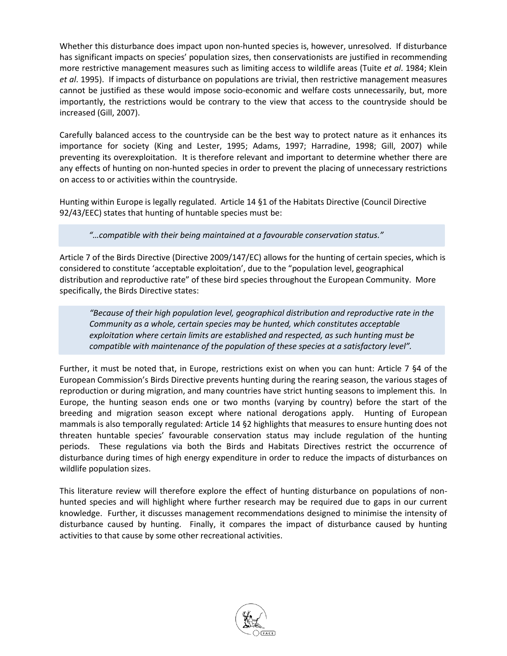Whether this disturbance does impact upon non-hunted species is, however, unresolved. If disturbance has significant impacts on species' population sizes, then conservationists are justified in recommending more restrictive management measures such as limiting access to wildlife areas (Tuite *et al*. 1984; Klein *et al*. 1995). If impacts of disturbance on populations are trivial, then restrictive management measures cannot be justified as these would impose socio-economic and welfare costs unnecessarily, but, more importantly, the restrictions would be contrary to the view that access to the countryside should be increased (Gill, 2007).

Carefully balanced access to the countryside can be the best way to protect nature as it enhances its importance for society (King and Lester, 1995; Adams, 1997; Harradine, 1998; Gill, 2007) while preventing its overexploitation. It is therefore relevant and important to determine whether there are any effects of hunting on non-hunted species in order to prevent the placing of unnecessary restrictions on access to or activities within the countryside.

Hunting within Europe is legally regulated. Article 14 §1 of the Habitats Directive (Council Directive 92/43/EEC) states that hunting of huntable species must be:

*"…compatible with their being maintained at a favourable conservation status."*

Article 7 of the Birds Directive (Directive 2009/147/EC) allows for the hunting of certain species, which is considered to constitute 'acceptable exploitation', due to the "population level, geographical distribution and reproductive rate" of these bird species throughout the European Community. More specifically, the Birds Directive states:

*"Because of their high population level, geographical distribution and reproductive rate in the Community as a whole, certain species may be hunted, which constitutes acceptable exploitation where certain limits are established and respected, as such hunting must be compatible with maintenance of the population of these species at a satisfactory level".*

Further, it must be noted that, in Europe, restrictions exist on when you can hunt: Article 7 §4 of the European Commission's Birds Directive prevents hunting during the rearing season, the various stages of reproduction or during migration, and many countries have strict hunting seasons to implement this. In Europe, the hunting season ends one or two months (varying by country) before the start of the breeding and migration season except where national derogations apply. Hunting of European mammals is also temporally regulated: Article 14 §2 highlights that measures to ensure hunting does not threaten huntable species' favourable conservation status may include regulation of the hunting periods. These regulations via both the Birds and Habitats Directives restrict the occurrence of disturbance during times of high energy expenditure in order to reduce the impacts of disturbances on wildlife population sizes.

This literature review will therefore explore the effect of hunting disturbance on populations of nonhunted species and will highlight where further research may be required due to gaps in our current knowledge. Further, it discusses management recommendations designed to minimise the intensity of disturbance caused by hunting. Finally, it compares the impact of disturbance caused by hunting activities to that cause by some other recreational activities.

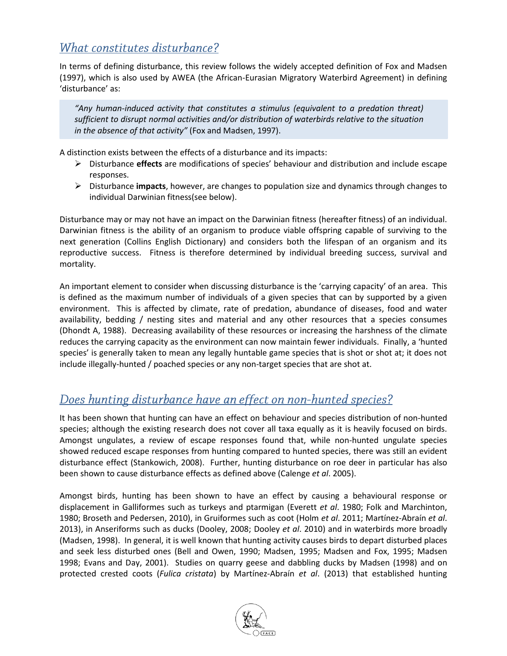# What constitutes disturbance?

In terms of defining disturbance, this review follows the widely accepted definition of Fox and Madsen (1997), which is also used by AWEA (the African-Eurasian Migratory Waterbird Agreement) in defining 'disturbance' as:

*"Any human-induced activity that constitutes a stimulus (equivalent to a predation threat) sufficient to disrupt normal activities and/or distribution of waterbirds relative to the situation in the absence of that activity"* (Fox and Madsen, 1997).

A distinction exists between the effects of a disturbance and its impacts:

- Disturbance **effects** are modifications of species' behaviour and distribution and include escape responses.
- Disturbance **impacts**, however, are changes to population size and dynamics through changes to individual Darwinian fitness(see below).

Disturbance may or may not have an impact on the Darwinian fitness (hereafter fitness) of an individual. Darwinian fitness is the ability of an organism to produce viable offspring capable of surviving to the next generation (Collins English Dictionary) and considers both the lifespan of an organism and its reproductive success. Fitness is therefore determined by individual breeding success, survival and mortality.

An important element to consider when discussing disturbance is the 'carrying capacity' of an area. This is defined as the maximum number of individuals of a given species that can by supported by a given environment. This is affected by climate, rate of predation, abundance of diseases, food and water availability, bedding / nesting sites and material and any other resources that a species consumes (Dhondt A, 1988). Decreasing availability of these resources or increasing the harshness of the climate reduces the carrying capacity as the environment can now maintain fewer individuals. Finally, a 'hunted species' is generally taken to mean any legally huntable game species that is shot or shot at; it does not include illegally-hunted / poached species or any non-target species that are shot at.

# Does hunting disturbance have an effect on non-hunted species?

It has been shown that hunting can have an effect on behaviour and species distribution of non-hunted species; although the existing research does not cover all taxa equally as it is heavily focused on birds. Amongst ungulates, a review of escape responses found that, while non-hunted ungulate species showed reduced escape responses from hunting compared to hunted species, there was still an evident disturbance effect (Stankowich, 2008). Further, hunting disturbance on roe deer in particular has also been shown to cause disturbance effects as defined above (Calenge *et al*. 2005).

Amongst birds, hunting has been shown to have an effect by causing a behavioural response or displacement in Galliformes such as turkeys and ptarmigan (Everett *et al*. 1980; Folk and Marchinton, 1980; Broseth and Pedersen, 2010), in Gruiformes such as coot (Holm *et al*. 2011; Martínez-Abraín *et al*. 2013), in Anseriforms such as ducks (Dooley, 2008; Dooley *et al*. 2010) and in waterbirds more broadly (Madsen, 1998). In general, it is well known that hunting activity causes birds to depart disturbed places and seek less disturbed ones (Bell and Owen, 1990; Madsen, 1995; Madsen and Fox, 1995; Madsen 1998; Evans and Day, 2001). Studies on quarry geese and dabbling ducks by Madsen (1998) and on protected crested coots (*Fulica cristata*) by Martínez-Abraín *et al*. (2013) that established hunting

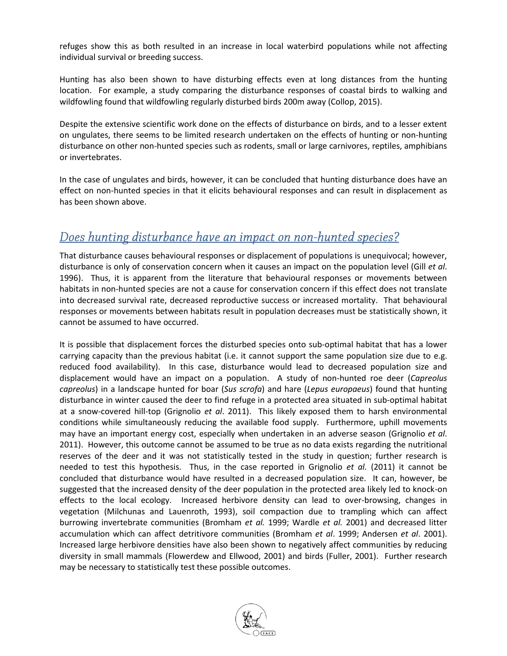refuges show this as both resulted in an increase in local waterbird populations while not affecting individual survival or breeding success.

Hunting has also been shown to have disturbing effects even at long distances from the hunting location. For example, a study comparing the disturbance responses of coastal birds to walking and wildfowling found that wildfowling regularly disturbed birds 200m away (Collop, 2015).

Despite the extensive scientific work done on the effects of disturbance on birds, and to a lesser extent on ungulates, there seems to be limited research undertaken on the effects of hunting or non-hunting disturbance on other non-hunted species such as rodents, small or large carnivores, reptiles, amphibians or invertebrates.

In the case of ungulates and birds, however, it can be concluded that hunting disturbance does have an effect on non-hunted species in that it elicits behavioural responses and can result in displacement as has been shown above.

# Does hunting disturbance have an impact on non-hunted species?

That disturbance causes behavioural responses or displacement of populations is unequivocal; however, disturbance is only of conservation concern when it causes an impact on the population level (Gill *et al*. 1996). Thus, it is apparent from the literature that behavioural responses or movements between habitats in non-hunted species are not a cause for conservation concern if this effect does not translate into decreased survival rate, decreased reproductive success or increased mortality. That behavioural responses or movements between habitats result in population decreases must be statistically shown, it cannot be assumed to have occurred.

It is possible that displacement forces the disturbed species onto sub-optimal habitat that has a lower carrying capacity than the previous habitat (i.e. it cannot support the same population size due to e.g. reduced food availability). In this case, disturbance would lead to decreased population size and displacement would have an impact on a population. A study of non-hunted roe deer (*Capreolus capreolus*) in a landscape hunted for boar (*Sus scrofa*) and hare (*Lepus europaeus*) found that hunting disturbance in winter caused the deer to find refuge in a protected area situated in sub-optimal habitat at a snow-covered hill-top (Grignolio *et al*. 2011). This likely exposed them to harsh environmental conditions while simultaneously reducing the available food supply. Furthermore, uphill movements may have an important energy cost, especially when undertaken in an adverse season (Grignolio *et al*. 2011). However, this outcome cannot be assumed to be true as no data exists regarding the nutritional reserves of the deer and it was not statistically tested in the study in question; further research is needed to test this hypothesis. Thus, in the case reported in Grignolio *et al.* (2011) it cannot be concluded that disturbance would have resulted in a decreased population size. It can, however, be suggested that the increased density of the deer population in the protected area likely led to knock-on effects to the local ecology. Increased herbivore density can lead to over-browsing, changes in vegetation (Milchunas and Lauenroth, 1993), soil compaction due to trampling which can affect burrowing invertebrate communities (Bromham *et al.* 1999; Wardle *et al.* 2001) and decreased litter accumulation which can affect detritivore communities (Bromham *et al*. 1999; Andersen *et al*. 2001). Increased large herbivore densities have also been shown to negatively affect communities by reducing diversity in small mammals (Flowerdew and Ellwood, 2001) and birds (Fuller, 2001). Further research may be necessary to statistically test these possible outcomes.

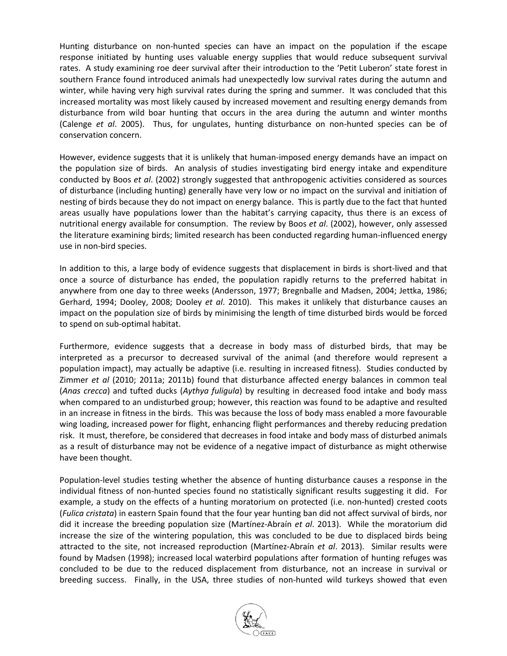Hunting disturbance on non-hunted species can have an impact on the population if the escape response initiated by hunting uses valuable energy supplies that would reduce subsequent survival rates. A study examining roe deer survival after their introduction to the 'Petit Luberon' state forest in southern France found introduced animals had unexpectedly low survival rates during the autumn and winter, while having very high survival rates during the spring and summer. It was concluded that this increased mortality was most likely caused by increased movement and resulting energy demands from disturbance from wild boar hunting that occurs in the area during the autumn and winter months (Calenge *et al*. 2005). Thus, for ungulates, hunting disturbance on non-hunted species can be of conservation concern.

However, evidence suggests that it is unlikely that human-imposed energy demands have an impact on the population size of birds. An analysis of studies investigating bird energy intake and expenditure conducted by Boos *et al*. (2002) strongly suggested that anthropogenic activities considered as sources of disturbance (including hunting) generally have very low or no impact on the survival and initiation of nesting of birds because they do not impact on energy balance. This is partly due to the fact that hunted areas usually have populations lower than the habitat's carrying capacity, thus there is an excess of nutritional energy available for consumption. The review by Boos *et al*. (2002), however, only assessed the literature examining birds; limited research has been conducted regarding human-influenced energy use in non-bird species.

In addition to this, a large body of evidence suggests that displacement in birds is short-lived and that once a source of disturbance has ended, the population rapidly returns to the preferred habitat in anywhere from one day to three weeks (Andersson, 1977; Bregnballe and Madsen, 2004; Jettka, 1986; Gerhard, 1994; Dooley, 2008; Dooley *et al*. 2010). This makes it unlikely that disturbance causes an impact on the population size of birds by minimising the length of time disturbed birds would be forced to spend on sub-optimal habitat.

Furthermore, evidence suggests that a decrease in body mass of disturbed birds, that may be interpreted as a precursor to decreased survival of the animal (and therefore would represent a population impact), may actually be adaptive (i.e. resulting in increased fitness). Studies conducted by Zimmer *et al* (2010; 2011a; 2011b) found that disturbance affected energy balances in common teal (*Anas crecca*) and tufted ducks (*Aythya fuligula*) by resulting in decreased food intake and body mass when compared to an undisturbed group; however, this reaction was found to be adaptive and resulted in an increase in fitness in the birds. This was because the loss of body mass enabled a more favourable wing loading, increased power for flight, enhancing flight performances and thereby reducing predation risk. It must, therefore, be considered that decreases in food intake and body mass of disturbed animals as a result of disturbance may not be evidence of a negative impact of disturbance as might otherwise have been thought.

Population-level studies testing whether the absence of hunting disturbance causes a response in the individual fitness of non-hunted species found no statistically significant results suggesting it did. For example, a study on the effects of a hunting moratorium on protected (i.e. non-hunted) crested coots (*Fulica cristata*) in eastern Spain found that the four year hunting ban did not affect survival of birds, nor did it increase the breeding population size (Martínez-Abraín *et al*. 2013). While the moratorium did increase the size of the wintering population, this was concluded to be due to displaced birds being attracted to the site, not increased reproduction (Martínez-Abraín *et al*. 2013). Similar results were found by Madsen (1998); increased local waterbird populations after formation of hunting refuges was concluded to be due to the reduced displacement from disturbance, not an increase in survival or breeding success. Finally, in the USA, three studies of non-hunted wild turkeys showed that even

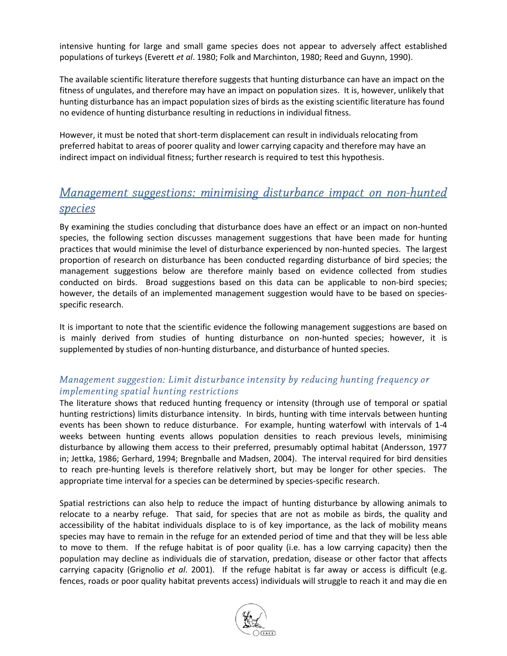intensive hunting for large and small game species does not appear to adversely affect established populations of turkeys (Everett *et al*. 1980; Folk and Marchinton, 1980; Reed and Guynn, 1990).

The available scientific literature therefore suggests that hunting disturbance can have an impact on the fitness of ungulates, and therefore may have an impact on population sizes. It is, however, unlikely that hunting disturbance has an impact population sizes of birds as the existing scientific literature has found no evidence of hunting disturbance resulting in reductions in individual fitness.

However, it must be noted that short-term displacement can result in individuals relocating from preferred habitat to areas of poorer quality and lower carrying capacity and therefore may have an indirect impact on individual fitness; further research is required to test this hypothesis.

# Management suggestions: minimising disturbance impact on non-hunted species

By examining the studies concluding that disturbance does have an effect or an impact on non-hunted species, the following section discusses management suggestions that have been made for hunting practices that would minimise the level of disturbance experienced by non-hunted species. The largest proportion of research on disturbance has been conducted regarding disturbance of bird species; the management suggestions below are therefore mainly based on evidence collected from studies conducted on birds. Broad suggestions based on this data can be applicable to non-bird species; however, the details of an implemented management suggestion would have to be based on speciesspecific research.

It is important to note that the scientific evidence the following management suggestions are based on is mainly derived from studies of hunting disturbance on non-hunted species; however, it is supplemented by studies of non-hunting disturbance, and disturbance of hunted species.

#### Management suggestion: Limit disturbance intensity by reducing hunting frequency or *implementing spatial hunting restrictions*

The literature shows that reduced hunting frequency or intensity (through use of temporal or spatial hunting restrictions) limits disturbance intensity. In birds, hunting with time intervals between hunting events has been shown to reduce disturbance. For example, hunting waterfowl with intervals of 1-4 weeks between hunting events allows population densities to reach previous levels, minimising disturbance by allowing them access to their preferred, presumably optimal habitat (Andersson, 1977 in; Jettka, 1986; Gerhard, 1994; Bregnballe and Madsen, 2004). The interval required for bird densities to reach pre-hunting levels is therefore relatively short, but may be longer for other species. The appropriate time interval for a species can be determined by species-specific research.

Spatial restrictions can also help to reduce the impact of hunting disturbance by allowing animals to relocate to a nearby refuge. That said, for species that are not as mobile as birds, the quality and accessibility of the habitat individuals displace to is of key importance, as the lack of mobility means species may have to remain in the refuge for an extended period of time and that they will be less able to move to them. If the refuge habitat is of poor quality (i.e. has a low carrying capacity) then the population may decline as individuals die of starvation, predation, disease or other factor that affects carrying capacity (Grignolio *et al*. 2001). If the refuge habitat is far away or access is difficult (e.g. fences, roads or poor quality habitat prevents access) individuals will struggle to reach it and may die en

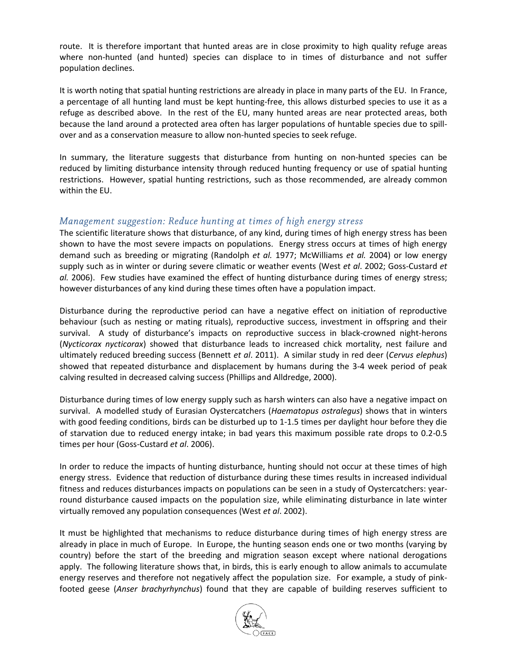route. It is therefore important that hunted areas are in close proximity to high quality refuge areas where non-hunted (and hunted) species can displace to in times of disturbance and not suffer population declines.

It is worth noting that spatial hunting restrictions are already in place in many parts of the EU. In France, a percentage of all hunting land must be kept hunting-free, this allows disturbed species to use it as a refuge as described above. In the rest of the EU, many hunted areas are near protected areas, both because the land around a protected area often has larger populations of huntable species due to spillover and as a conservation measure to allow non-hunted species to seek refuge.

In summary, the literature suggests that disturbance from hunting on non-hunted species can be reduced by limiting disturbance intensity through reduced hunting frequency or use of spatial hunting restrictions. However, spatial hunting restrictions, such as those recommended, are already common within the EU.

#### Management suggestion: Reduce hunting at times of high energy stress

The scientific literature shows that disturbance, of any kind, during times of high energy stress has been shown to have the most severe impacts on populations. Energy stress occurs at times of high energy demand such as breeding or migrating (Randolph *et al.* 1977; McWilliams *et al.* 2004) or low energy supply such as in winter or during severe climatic or weather events (West *et al*. 2002; Goss-Custard *et al.* 2006). Few studies have examined the effect of hunting disturbance during times of energy stress; however disturbances of any kind during these times often have a population impact.

Disturbance during the reproductive period can have a negative effect on initiation of reproductive behaviour (such as nesting or mating rituals), reproductive success, investment in offspring and their survival. A study of disturbance's impacts on reproductive success in black-crowned night-herons (*Nycticorax nycticorax*) showed that disturbance leads to increased chick mortality, nest failure and ultimately reduced breeding success (Bennett *et al*. 2011). A similar study in red deer (*Cervus elephus*) showed that repeated disturbance and displacement by humans during the 3-4 week period of peak calving resulted in decreased calving success (Phillips and Alldredge, 2000).

Disturbance during times of low energy supply such as harsh winters can also have a negative impact on survival. A modelled study of Eurasian Oystercatchers (*Haematopus ostralegus*) shows that in winters with good feeding conditions, birds can be disturbed up to 1-1.5 times per daylight hour before they die of starvation due to reduced energy intake; in bad years this maximum possible rate drops to 0.2-0.5 times per hour (Goss-Custard *et al*. 2006).

In order to reduce the impacts of hunting disturbance, hunting should not occur at these times of high energy stress. Evidence that reduction of disturbance during these times results in increased individual fitness and reduces disturbances impacts on populations can be seen in a study of Oystercatchers: yearround disturbance caused impacts on the population size, while eliminating disturbance in late winter virtually removed any population consequences (West *et al*. 2002).

It must be highlighted that mechanisms to reduce disturbance during times of high energy stress are already in place in much of Europe. In Europe, the hunting season ends one or two months (varying by country) before the start of the breeding and migration season except where national derogations apply. The following literature shows that, in birds, this is early enough to allow animals to accumulate energy reserves and therefore not negatively affect the population size. For example, a study of pinkfooted geese (*Anser brachyrhynchus*) found that they are capable of building reserves sufficient to

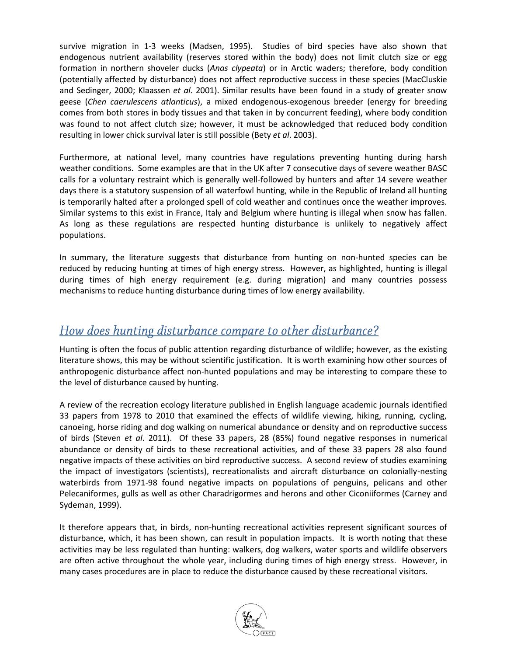survive migration in 1-3 weeks (Madsen, 1995). Studies of bird species have also shown that endogenous nutrient availability (reserves stored within the body) does not limit clutch size or egg formation in northern shoveler ducks (*Anas clypeata*) or in Arctic waders; therefore, body condition (potentially affected by disturbance) does not affect reproductive success in these species (MacCluskie and Sedinger, 2000; Klaassen *et al*. 2001). Similar results have been found in a study of greater snow geese (*Chen caerulescens atlanticus*), a mixed endogenous-exogenous breeder (energy for breeding comes from both stores in body tissues and that taken in by concurrent feeding), where body condition was found to not affect clutch size; however, it must be acknowledged that reduced body condition resulting in lower chick survival later is still possible (Bety *et al*. 2003).

Furthermore, at national level, many countries have regulations preventing hunting during harsh weather conditions. Some examples are that in the UK after 7 consecutive days of severe weather BASC calls for a voluntary restraint which is generally well-followed by hunters and after 14 severe weather days there is a statutory suspension of all waterfowl hunting, while in the Republic of Ireland all hunting is temporarily halted after a prolonged spell of cold weather and continues once the weather improves. Similar systems to this exist in France, Italy and Belgium where hunting is illegal when snow has fallen. As long as these regulations are respected hunting disturbance is unlikely to negatively affect populations.

In summary, the literature suggests that disturbance from hunting on non-hunted species can be reduced by reducing hunting at times of high energy stress. However, as highlighted, hunting is illegal during times of high energy requirement (e.g. during migration) and many countries possess mechanisms to reduce hunting disturbance during times of low energy availability.

### How does hunting disturbance compare to other disturbance?

Hunting is often the focus of public attention regarding disturbance of wildlife; however, as the existing literature shows, this may be without scientific justification. It is worth examining how other sources of anthropogenic disturbance affect non-hunted populations and may be interesting to compare these to the level of disturbance caused by hunting.

A review of the recreation ecology literature published in English language academic journals identified 33 papers from 1978 to 2010 that examined the effects of wildlife viewing, hiking, running, cycling, canoeing, horse riding and dog walking on numerical abundance or density and on reproductive success of birds (Steven *et al*. 2011). Of these 33 papers, 28 (85%) found negative responses in numerical abundance or density of birds to these recreational activities, and of these 33 papers 28 also found negative impacts of these activities on bird reproductive success. A second review of studies examining the impact of investigators (scientists), recreationalists and aircraft disturbance on colonially-nesting waterbirds from 1971-98 found negative impacts on populations of penguins, pelicans and other Pelecaniformes, gulls as well as other Charadrigormes and herons and other Ciconiiformes (Carney and Sydeman, 1999).

It therefore appears that, in birds, non-hunting recreational activities represent significant sources of disturbance, which, it has been shown, can result in population impacts. It is worth noting that these activities may be less regulated than hunting: walkers, dog walkers, water sports and wildlife observers are often active throughout the whole year, including during times of high energy stress. However, in many cases procedures are in place to reduce the disturbance caused by these recreational visitors.

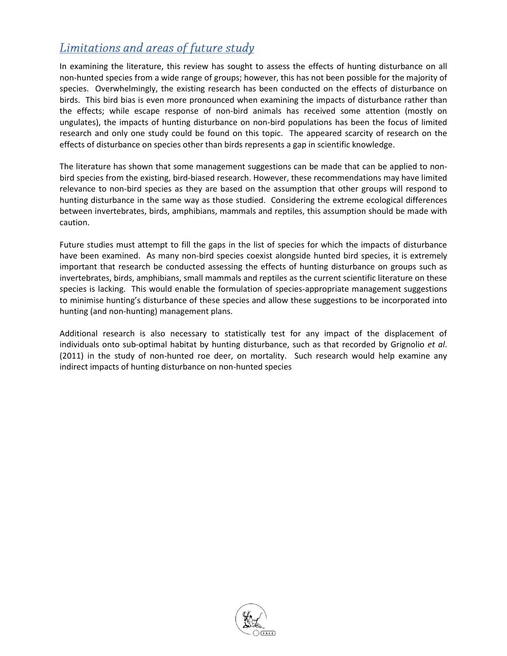# Limitations and areas of future study

In examining the literature, this review has sought to assess the effects of hunting disturbance on all non-hunted species from a wide range of groups; however, this has not been possible for the majority of species. Overwhelmingly, the existing research has been conducted on the effects of disturbance on birds. This bird bias is even more pronounced when examining the impacts of disturbance rather than the effects; while escape response of non-bird animals has received some attention (mostly on ungulates), the impacts of hunting disturbance on non-bird populations has been the focus of limited research and only one study could be found on this topic. The appeared scarcity of research on the effects of disturbance on species other than birds represents a gap in scientific knowledge.

The literature has shown that some management suggestions can be made that can be applied to nonbird species from the existing, bird-biased research. However, these recommendations may have limited relevance to non-bird species as they are based on the assumption that other groups will respond to hunting disturbance in the same way as those studied. Considering the extreme ecological differences between invertebrates, birds, amphibians, mammals and reptiles, this assumption should be made with caution.

Future studies must attempt to fill the gaps in the list of species for which the impacts of disturbance have been examined. As many non-bird species coexist alongside hunted bird species, it is extremely important that research be conducted assessing the effects of hunting disturbance on groups such as invertebrates, birds, amphibians, small mammals and reptiles as the current scientific literature on these species is lacking. This would enable the formulation of species-appropriate management suggestions to minimise hunting's disturbance of these species and allow these suggestions to be incorporated into hunting (and non-hunting) management plans.

Additional research is also necessary to statistically test for any impact of the displacement of individuals onto sub-optimal habitat by hunting disturbance, such as that recorded by Grignolio *et al*. (2011) in the study of non-hunted roe deer, on mortality. Such research would help examine any indirect impacts of hunting disturbance on non-hunted species

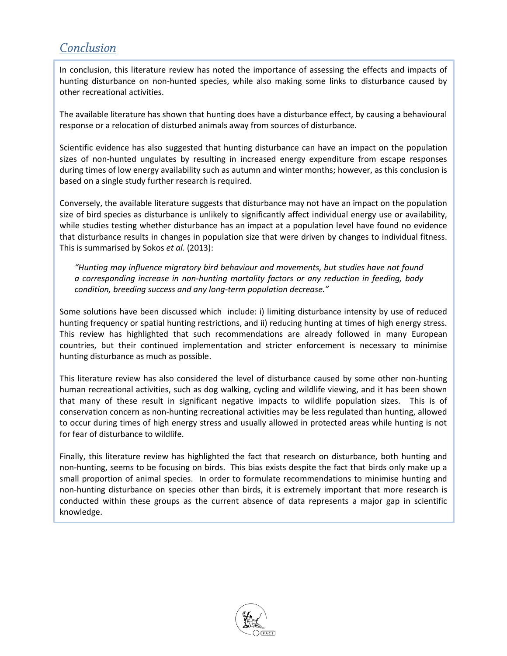# Conclusion

In conclusion, this literature review has noted the importance of assessing the effects and impacts of hunting disturbance on non-hunted species, while also making some links to disturbance caused by other recreational activities.

The available literature has shown that hunting does have a disturbance effect, by causing a behavioural response or a relocation of disturbed animals away from sources of disturbance.

Scientific evidence has also suggested that hunting disturbance can have an impact on the population sizes of non-hunted ungulates by resulting in increased energy expenditure from escape responses during times of low energy availability such as autumn and winter months; however, as this conclusion is based on a single study further research is required.

Conversely, the available literature suggests that disturbance may not have an impact on the population size of bird species as disturbance is unlikely to significantly affect individual energy use or availability, while studies testing whether disturbance has an impact at a population level have found no evidence that disturbance results in changes in population size that were driven by changes to individual fitness. This is summarised by Sokos *et al.* (2013):

*"Hunting may influence migratory bird behaviour and movements, but studies have not found a corresponding increase in non-hunting mortality factors or any reduction in feeding, body condition, breeding success and any long-term population decrease."*

Some solutions have been discussed which include: i) limiting disturbance intensity by use of reduced hunting frequency or spatial hunting restrictions, and ii) reducing hunting at times of high energy stress. This review has highlighted that such recommendations are already followed in many European countries, but their continued implementation and stricter enforcement is necessary to minimise hunting disturbance as much as possible.

This literature review has also considered the level of disturbance caused by some other non-hunting human recreational activities, such as dog walking, cycling and wildlife viewing, and it has been shown that many of these result in significant negative impacts to wildlife population sizes. This is of conservation concern as non-hunting recreational activities may be less regulated than hunting, allowed to occur during times of high energy stress and usually allowed in protected areas while hunting is not for fear of disturbance to wildlife.

Finally, this literature review has highlighted the fact that research on disturbance, both hunting and non-hunting, seems to be focusing on birds. This bias exists despite the fact that birds only make up a small proportion of animal species. In order to formulate recommendations to minimise hunting and non-hunting disturbance on species other than birds, it is extremely important that more research is conducted within these groups as the current absence of data represents a major gap in scientific knowledge.

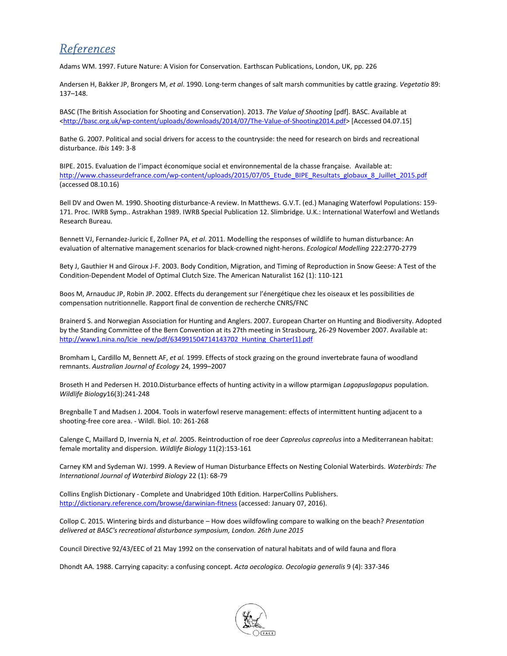## **References**

Adams WM. 1997. Future Nature: A Vision for Conservation. Earthscan Publications, London, UK, pp. 226

Andersen H, Bakker JP, Brongers M, *et al*. 1990. Long-term changes of salt marsh communities by cattle grazing. *Vegetatio* 89: 137–148.

BASC (The British Association for Shooting and Conservation). 2013. *The Value of Shooting* [pdf]. BASC. Available at [<http://basc.org.uk/wp-content/uploads/downloads/2014/07/The-Value-of-Shooting2014.pdf>](http://basc.org.uk/wp-content/uploads/downloads/2014/07/The-Value-of-Shooting2014.pdf) [Accessed 04.07.15]

Bathe G. 2007. Political and social drivers for access to the countryside: the need for research on birds and recreational disturbance. *Ibis* 149: 3-8

BIPE. 2015. Evaluation de l'impact économique social et environnemental de la chasse française. Available at: [http://www.chasseurdefrance.com/wp-content/uploads/2015/07/05\\_Etude\\_BIPE\\_Resultats\\_globaux\\_8\\_Juillet\\_2015.pdf](http://www.chasseurdefrance.com/wp-content/uploads/2015/07/05_Etude_BIPE_Resultats_globaux_8_Juillet_2015.pdf) (accessed 08.10.16)

Bell DV and Owen M. 1990. Shooting disturbance-A review. In Matthews. G.V.T. (ed.) Managing Waterfowl Populations: 159- 171. Proc. IWRB Symp.. Astrakhan 1989. IWRB Special Publication 12. Slimbridge. U.K.: International Waterfowl and Wetlands Research Bureau.

Bennett VJ, Fernandez-Juricic E, Zollner PA, *et al*. 2011. Modelling the responses of wildlife to human disturbance: An evaluation of alternative management scenarios for black-crowned night-herons. *Ecological Modelling* 222:2770-2779

Bety J, Gauthier H and Giroux J-F. 2003. Body Condition, Migration, and Timing of Reproduction in Snow Geese: A Test of the Condition‐Dependent Model of Optimal Clutch Size. The American Naturalist 162 (1): 110-121

Boos M, Arnauduc JP, Robin JP. 2002. Effects du derangement sur l'énergétique chez les oiseaux et les possibilities de compensation nutritionnelle. Rapport final de convention de recherche CNRS/FNC

Brainerd S. and Norwegian Association for Hunting and Anglers. 2007. European Charter on Hunting and Biodiversity. Adopted by the Standing Committee of the Bern Convention at its 27th meeting in Strasbourg, 26-29 November 2007. Available at: [http://www1.nina.no/lcie\\_new/pdf/634991504714143702\\_Hunting\\_Charter\[1\].pdf](http://www1.nina.no/lcie_new/pdf/634991504714143702_Hunting_Charter%5b1%5d.pdf)

Bromham L, Cardillo M, Bennett AF, *et al.* 1999. Effects of stock grazing on the ground invertebrate fauna of woodland remnants. *Australian Journal of Ecology* 24, 1999–2007

Broseth H and Pedersen H. 2010.Disturbance effects of hunting activity in a willow ptarmigan *Lagopuslagopus* population. *Wildlife Biology*16(3):241-248

Bregnballe T and Madsen J. 2004. Tools in waterfowl reserve management: effects of intermittent hunting adjacent to a shooting-free core area. - Wildl. Biol. 10: 261-268

Calenge C, Maillard D, Invernia N, *et al*. 2005. Reintroduction of roe deer *Capreolus capreolus* into a Mediterranean habitat: female mortality and dispersion. *Wildlife Biology* 11(2):153-161

Carney KM and Sydeman WJ. 1999. A Review of Human Disturbance Effects on Nesting Colonial Waterbirds. *Waterbirds: The International Journal of Waterbird Biology* 22 (1): 68-79

Collins English Dictionary - Complete and Unabridged 10th Edition. HarperCollins Publishers. <http://dictionary.reference.com/browse/darwinian-fitness> (accessed: January 07, 2016).

Collop C. 2015. Wintering birds and disturbance – How does wildfowling compare to walking on the beach? *Presentation delivered at BASC's recreational disturbance symposium, London. 26th June 2015*

Council Directive 92/43/EEC of 21 May 1992 on the conservation of natural habitats and of wild fauna and flora

Dhondt AA. 1988. Carrying capacity: a confusing concept. *[Acta oecologica. Oecologia generalis](http://www.refdoc.fr/?traduire=en&FormRechercher=submit&FormRechercher_Txt_Recherche_name_attr=listeTitreSerie:%20(Acta%20oecologica.%20Oecologia%20generalis))* 9 (4): 337-346

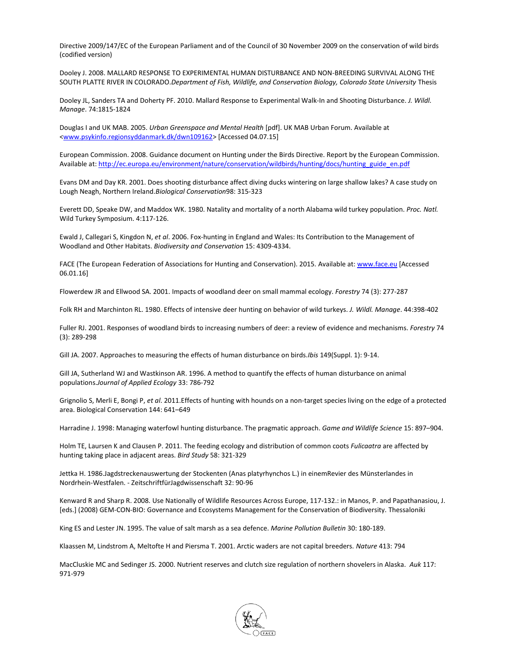Directive 2009/147/EC of the European Parliament and of the Council of 30 November 2009 on the conservation of wild birds (codified version)

Dooley J. 2008. MALLARD RESPONSE TO EXPERIMENTAL HUMAN DISTURBANCE AND NON-BREEDING SURVIVAL ALONG THE SOUTH PLATTE RIVER IN COLORADO.*Department of Fish, Wildlife, and Conservation Biology, Colorado State University* Thesis

Dooley JL, Sanders TA and Doherty PF. 2010. Mallard Response to Experimental Walk-In and Shooting Disturbance. *J. Wildl. Manage*. 74:1815-1824

Douglas I and UK MAB. 2005. *Urban Greenspace and Mental Health* [pdf]. UK MAB Urban Forum. Available at [<www.psykinfo.regionsyddanmark.dk/dwn109162>](http://www.psykinfo.regionsyddanmark.dk/dwn109162) [Accessed 04.07.15]

European Commission. 2008. Guidance document on Hunting under the Birds Directive. Report by the European Commission. Available at[: http://ec.europa.eu/environment/nature/conservation/wildbirds/hunting/docs/hunting\\_guide\\_en.pdf](http://ec.europa.eu/environment/nature/conservation/wildbirds/hunting/docs/hunting_guide_en.pdf)

Evans DM and Day KR. 2001. Does shooting disturbance affect diving ducks wintering on large shallow lakes? A case study on Lough Neagh, Northern Ireland.*Biological Conservation*98: 315-323

Everett DD, Speake DW, and Maddox WK. 1980. Natality and mortality of a north Alabama wild turkey population. *Proc. Natl.*  Wild Turkey Symposium. 4:117-126.

Ewald J, Callegari S, Kingdon N, *et al*. 2006. Fox-hunting in England and Wales: Its Contribution to the Management of Woodland and Other Habitats. *Biodiversity and Conservation* 15: 4309-4334.

FACE (The European Federation of Associations for Hunting and Conservation). 2015. Available at[: www.face.eu](http://www.face.eu/) [Accessed 06.01.16]

Flowerdew JR and Ellwood SA. 2001. Impacts of woodland deer on small mammal ecology. *Forestry* 74 (3): 277-287

Folk RH and Marchinton RL. 1980. Effects of intensive deer hunting on behavior of wild turkeys. *J. Wildl. Manage*. 44:398-402

Fuller RJ. 2001. Responses of woodland birds to increasing numbers of deer: a review of evidence and mechanisms. *Forestry* 74 (3): 289-298

Gill JA. 2007. Approaches to measuring the effects of human disturbance on birds.*Ibis* 149(Suppl. 1): 9-14.

Gill JA, Sutherland WJ and Wastkinson AR. 1996. A method to quantify the effects of human disturbance on animal populations.*Journal of Applied Ecology* 33: 786-792

Grignolio S, Merli E, Bongi P, *et al*. 2011.Effects of hunting with hounds on a non-target species living on the edge of a protected area. Biological Conservation 144: 641–649

Harradine J. 1998: Managing waterfowl hunting disturbance. The pragmatic approach. *Game and Wildlife Science* 15: 897–904.

Holm TE, Laursen K and Clausen P. 2011. The feeding ecology and distribution of common coots *Fulicaatra* are affected by hunting taking place in adjacent areas. *Bird Study* 58: 321-329

Jettka H. 1986.Jagdstreckenauswertung der Stockenten (Anas platyrhynchos L.) in einemRevier des Münsterlandes in Nordrhein-Westfalen. - ZeitschriftfürJagdwissenschaft 32: 90-96

Kenward R and Sharp R. 2008. Use Nationally of Wildlife Resources Across Europe, 117-132.: in Manos, P. and Papathanasiou, J. [eds.] (2008) GEM-CON-BIO: Governance and Ecosystems Management for the Conservation of Biodiversity. Thessaloniki

King ES and Lester JN. 1995. The value of salt marsh as a sea defence. *Marine Pollution Bulletin* 30: 180-189.

Klaassen M, Lindstrom A, Meltofte H and Piersma T. 2001. Arctic waders are not capital breeders. *Nature* 413: 794

MacCluskie MC and Sedinger JS. 2000. Nutrient reserves and clutch size regulation of northern shovelers in Alaska. *Auk* 117: 971-979

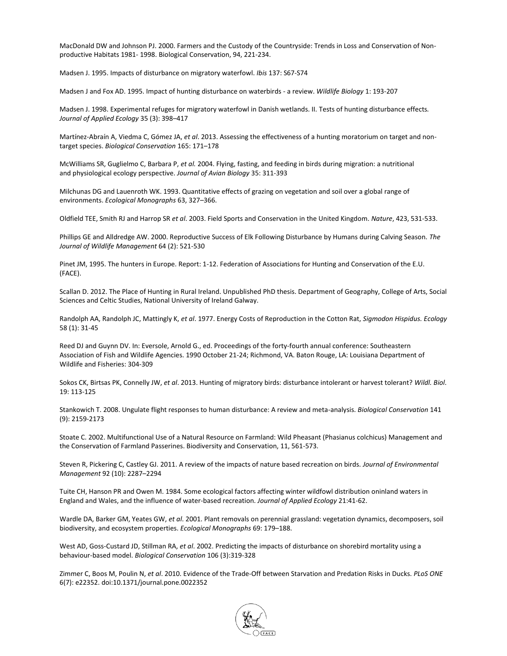MacDonald DW and Johnson PJ. 2000. Farmers and the Custody of the Countryside: Trends in Loss and Conservation of Nonproductive Habitats 1981- 1998. Biological Conservation, 94, 221-234.

Madsen J. 1995. Impacts of disturbance on migratory waterfowl. *Ibis* 137: S67-S74

Madsen J and Fox AD. 1995. Impact of hunting disturbance on waterbirds - a review. *Wildlife Biology* 1: 193-207

Madsen J. 1998. Experimental refuges for migratory waterfowl in Danish wetlands. II. Tests of hunting disturbance effects*. Journal of Applied Ecology* 35 (3): 398–417

Martínez-Abraín A, Viedma C, Gómez JA, *et al*. 2013. Assessing the effectiveness of a hunting moratorium on target and nontarget species. *Biological Conservation* 165: 171–178

McWilliams SR, Guglielmo C, Barbara P, *et al.* 2004. Flying, fasting, and feeding in birds during migration: a nutritional and physiological ecology perspective. *Journal of Avian Biology* 35: 311-393

Milchunas DG and Lauenroth WK. 1993. Quantitative effects of grazing on vegetation and soil over a global range of environments. *Ecological Monographs* 63, 327–366.

Oldfield TEE, Smith RJ and Harrop SR *et al*. 2003. Field Sports and Conservation in the United Kingdom. *Nature*, 423, 531-533.

Phillips GE and Alldredge AW. 2000. Reproductive Success of Elk Following Disturbance by Humans during Calving Season. *The Journal of Wildlife Management* 64 (2): 521-530

Pinet JM, 1995. The hunters in Europe. Report: 1-12. Federation of Associations for Hunting and Conservation of the E.U. (FACE).

Scallan D. 2012. The Place of Hunting in Rural Ireland. Unpublished PhD thesis. Department of Geography, College of Arts, Social Sciences and Celtic Studies, National University of Ireland Galway.

Randolph AA, Randolph JC, Mattingly K, *et al*. 1977. Energy Costs of Reproduction in the Cotton Rat, *Sigmodon Hispidus. Ecology* 58 (1): 31-45

Reed DJ and Guynn DV. In: Eversole, Arnold G., ed. Proceedings of the forty-fourth annual conference: Southeastern Association of Fish and Wildlife Agencies. 1990 October 21-24; Richmond, VA. Baton Rouge, LA: Louisiana Department of Wildlife and Fisheries: 304-309

Sokos CK, Birtsas PK, Connelly JW, *et al*. 2013. Hunting of migratory birds: disturbance intolerant or harvest tolerant? *Wildl. Biol*. 19: 113-125

Stankowich T. 2008. Ungulate flight responses to human disturbance: A review and meta-analysis. *Biological Conservation* 141 (9): 2159-2173

Stoate C. 2002. Multifunctional Use of a Natural Resource on Farmland: Wild Pheasant (Phasianus colchicus) Management and the Conservation of Farmland Passerines. Biodiversity and Conservation, 11, 561-573.

Steven R, Pickering C, Castley GJ. 2011. A review of the impacts of nature based recreation on birds. *Journal of Environmental Management* 92 (10): 2287–2294

Tuite CH, Hanson PR and Owen M. 1984. Some ecological factors affecting winter wildfowl distribution oninland waters in England and Wales, and the influence of water-based recreation. *Journal of Applied Ecology* 21:41-62.

Wardle DA, Barker GM, Yeates GW, *et al*. 2001. Plant removals on perennial grassland: vegetation dynamics, decomposers, soil biodiversity, and ecosystem properties. *Ecological Monographs* 69: 179–188.

West AD, Goss-Custard JD, Stillman RA, *et al*. 2002. Predicting the impacts of disturbance on shorebird mortality using a behaviour-based model. *Biological Conservation* 106 (3):319-328

Zimmer C, Boos M, Poulin N, *et al*. 2010. Evidence of the Trade-Off between Starvation and Predation Risks in Ducks. *PLoS ONE* 6(7): e22352. doi:10.1371/journal.pone.0022352